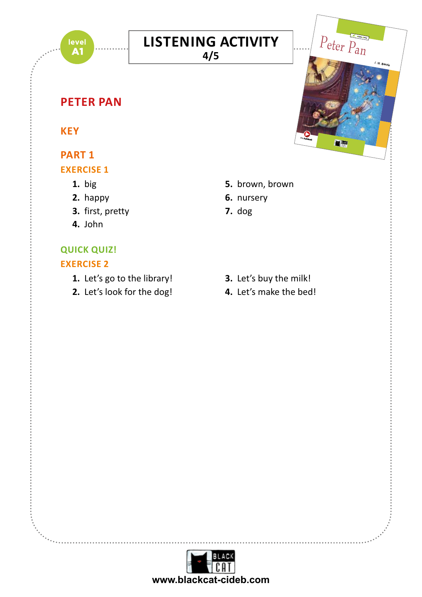

#### **LISTENING ACTIVITY** Join Wendy, John and Michael as they fly off to Neverland with Peter Pan,  $\overline{\mathsf{CTIVITY}}$

**4/5**

# **18/03/20 18:12 18:12 18:12 18:12 18:12 18:12 18:12 18:12 18:12 18:12 18:12 18:12 18:12 18:12 18:12 18:12 18:12**<br>PART 1

#### **KEY**

## **PART 1**

#### **EXERCISE 1**

- **1.** big
- **2.** happy
- **3.** first, pretty
- **4.** John

# **QUICK QUIZ!**

### **EXERCISE 2**

- **1.** Let's go to the library!
- **2.** Let's look for the dog!

**5.** brown, brown

KEY-style activities and Trinity-style activities (Grades 1 and 2)

Full recording of the text

**A1 Peter Pan**

*free* **Audiobook**

 $\overline{\phantom{a}}$ 

Peter Pan

J. M. Barrie

- **6.** nursery
- **7.** dog
- **3.** Let's buy the milk!
- **4.** Let's make the bed!